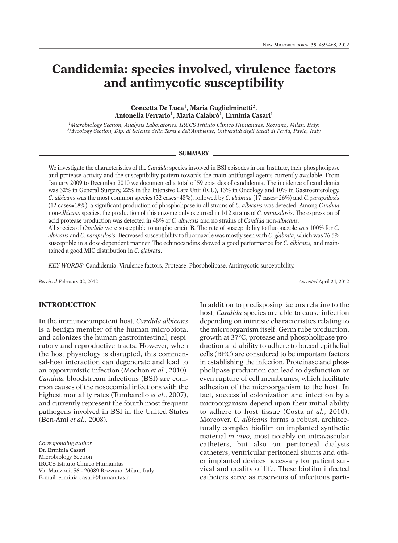# **Candidemia: species involved, virulence factors and antimycotic susceptibility**

## **Concetta De Luca1, Maria Guglielminetti 2, Antonella Ferrario1, Maria Calabrò1, Erminia Casari 1**

*1Microbiology Section, Analysis Laboratories, IRCCS Istituto Clinico Humanitas, Rozzano, Milan, Italy; 2Mycology Section, Dip. di Scienze della Terra e dell'Ambiente, Università degli Studi di Pavia, Pavia, Italy*

#### **SUMMARY**

We investigate the characteristics of the *Candida* species involved in BSI episodes in our Institute, their phospholipase and protease activity and the susceptibility pattern towards the main antifungal agents currently available. From January 2009 to December 2010 we documented a total of 59 episodes of candidemia. The incidence of candidemia was 32% in General Surgery, 22% in the Intensive Care Unit (ICU), 13% in Oncology and 10% in Gastroenterology. *C. albicans* was the most common species (32 cases=48%), followed by *C. glabrata* (17 cases=26%) and *C. parapsilosis* (12 cases=18%), a significant production of phospholipase in all strains of *C. albicans* was detected. Among *Candida* non-*albicans* species, the production of this enzyme only occurred in 1/12 strains of *C. parapsilosis*. The expression of acid protease production was detected in 48% of *C. albicans* and no strains of *Candida* non-*albicans.* All species of *Candida* were susceptible to amphotericin B. The rate of susceptibility to fluconazole was 100% for *C. albicans* and *C. parapsilosis*. Decreased susceptibility to fluconazole was mostly seen with *C. glabrata*, which was 76.5% susceptible in a dose-dependent manner. The echinocandins showed a good performance for *C. albicans,* and maintained a good MIC distribution in *C. glabrata*.

*KEY WORDS:* Candidemia, Virulence factors, Protease, Phospholipase, Antimycotic susceptibility.

*Received* February 02, 2012 *Accepted* April 24, 2012

## **INTRODUCTION**

In the immunocompetent host, *Candida albicans* is a benign member of the human microbiota, and colonizes the human gastrointestinal, respiratory and reproductive tracts. However, when the host physiology is disrupted, this commensal-host interaction can degenerate and lead to an opportunistic infection (Mochon *et al.*, 2010)*. Candida* bloodstream infections (BSI) are common causes of the nosocomial infections with the highest mortality rates (Tumbarello *et al*., 2007), and currently represent the fourth most frequent pathogens involved in BSI in the United States (Ben-Ami *et al.*, 2008).

Microbiology Section

IRCCS Istituto Clinico Humanitas

E-mail: erminia.casari@humanitas.it

In addition to predisposing factors relating to the host, *Candida* species are able to cause infection depending on intrinsic characteristics relating to the microorganism itself. Germ tube production, growth at 37°C, protease and phospholipase production and ability to adhere to buccal epithelial cells (BEC) are considered to be important factors in establishing the infection. Proteinase and phospholipase production can lead to dysfunction or even rupture of cell membranes, which facilitate adhesion of the microorganism to the host. In fact, successful colonization and infection by a microorganism depend upon their initial ability to adhere to host tissue (Costa *at al.*, 2010). Moreover, *C. albicans* forms a robust, architecturally complex biofilm on implanted synthetic material *in vivo,* most notably on intravascular catheters, but also on peritoneal dialysis catheters, ventricular peritoneal shunts and other implanted devices necessary for patient survival and quality of life. These biofilm infected catheters serve as reservoirs of infectious parti-

*Corresponding author*

Dr. Erminia Casari

Via Manzoni, 56 - 20089 Rozzano, Milan, Italy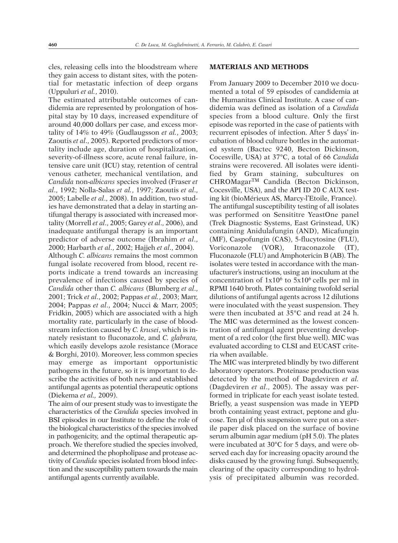cles, releasing cells into the bloodstream where they gain access to distant sites, with the potential for metastatic infection of deep organs (Uppuluri *et al.*, 2010).

The estimated attributable outcomes of candidemia are represented by prolongation of hospital stay by 10 days, increased expenditure of around 40,000 dollars per case, and excess mortality of 14% to 49% (Gudlaugsson *et al.*, 2003; Zaoutis *et al*., 2005). Reported predictors of mortality include age, duration of hospitalization, severity-of-illness score, acute renal failure, intensive care unit (ICU) stay, retention of central venous catheter, mechanical ventilation, and *Candida* non-*albicans* species involved (Fraser *et al*., 1992; Nolla-Salas *et al.*, 1997; Zaoutis *et al*., 2005; Labelle *et al*., 2008). In addition, two studies have demonstrated that a delay in starting antifungal therapy is associated with increased mortality (Morrell *et al*., 2005; Garey *et al*., 2006), and inadequate antifungal therapy is an important predictor of adverse outcome (Ibrahim *et al*., 2000; Harbarth *et al*., 2002; Hajjeh *et al*., 2004). Although *C. albicans* remains the most common fungal isolate recovered from blood, recent reports indicate a trend towards an increasing prevalence of infections caused by species of *Candida* other than *C. albicans* (Blumberg *et al*., 2001; Trick *et al*., 2002; Pappas *et al.*, 2003; Marr, 2004; Pappas *et al*., 2004; Nucci & Marr, 2005; Fridkin, 2005) which are associated with a high mortality rate, particularly in the case of bloodstream infection caused by *C. krusei*, which is innately resistant to fluconazole, and *C. glabrata,* which easily develops azole resistance (Morace & Borghi, 2010). Moreover, less common species may emerge as important opportunistic pathogens in the future, so it is important to describe the activities of both new and established antifungal agents as potential therapeutic options (Diekema *et al.,* 2009).

The aim of our present study was to investigate the characteristics of the *Candida* species involved in BSI episodes in our Institute to define the role of the biological characteristics of the species involved in pathogenicity, and the optimal therapeutic approach. We therefore studied the species involved, and determined the phopholipase and protease activity of *Candida* species isolated from blood infection and the susceptibility pattern towards the main antifungal agents currently available.

### **MATERIALS AND METHODS**

From January 2009 to December 2010 we documented a total of 59 episodes of candidemia at the Humanitas Clinical Institute. A case of candidemia was defined as isolation of a *Candida* species from a blood culture. Only the first episode was reported in the case of patients with recurrent episodes of infection. After 5 days' incubation of blood culture bottles in the automated system (Bactec 9240, Becton Dickinson, Cocesville, USA) at 37°C, a total of 66 *Candida* strains were recovered. All isolates were identified by Gram staining, subcultures on CHROMagarTM Candida (Becton Dickinson, Cocesville, USA), and the API ID 20 C AUX testing kit (bioMérieux AS, Marcy-l'Etoile, France). The antifungal susceptibility testing of all isolates was performed on Sensititre YeastOne panel (Trek Diagnostic Systems, East Grinstead, UK) containing Anidulafungin (AND), Micafungin (MF), Caspofungin (CAS), 5-flucytosine (FLU), Voriconazole (VOR), Itraconazole (IT), Fluconazole (FLU) and Amphotericin B (AB). The isolates were tested in accordance with the manufacturer's instructions, using an inoculum at the concentration of  $1x10^6$  to  $5x10^6$  cells per ml in RPMI 1640 broth. Plates containing twofold serial dilutions of antifungal agents across 12 dilutions were inoculated with the yeast suspension. They were then incubated at 35°C and read at 24 h. The MIC was determined as the lowest concentration of antifungal agent preventing development of a red color (the first blue well). MIC was evaluated according to CLSI and EUCAST criteria when available.

The MIC was interpreted blindly by two different laboratory operators. Proteinase production was detected by the method of Dagdeviren *et al.* (Dagdeviren *et al*., 2005). The assay was performed in triplicate for each yeast isolate tested. Briefly, a yeast suspension was made in YEPD broth containing yeast extract, peptone and glucose. Ten µl of this suspension were put on a sterile paper disk placed on the surface of bovine serum albumin agar medium (pH 5.0). The plates were incubated at 30°C for 5 days, and were observed each day for increasing opacity around the disks caused by the growing fungi. Subsequently, clearing of the opacity corresponding to hydrolysis of precipitated albumin was recorded.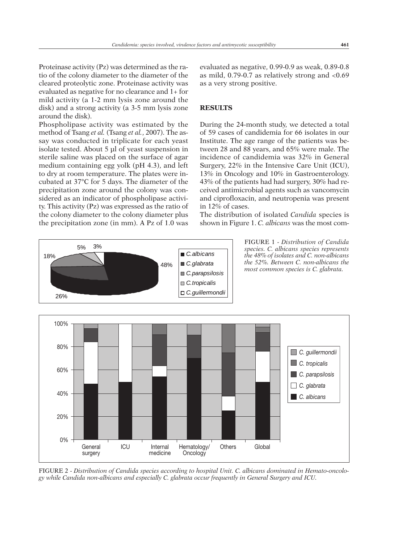Proteinase activity (Pz) was determined as the ratio of the colony diameter to the diameter of the cleared proteolytic zone. Proteinase activity was evaluated as negative for no clearance and 1+ for mild activity (a 1-2 mm lysis zone around the disk) and a strong activity (a 3-5 mm lysis zone around the disk).

Phospholipase activity was estimated by the method of Tsang *et al.* (Tsang *et al.*, 2007). The assay was conducted in triplicate for each yeast isolate tested. About 5 µl of yeast suspension in sterile saline was placed on the surface of agar medium containing egg yolk (pH 4.3), and left to dry at room temperature. The plates were incubated at 37°C for 5 days. The diameter of the precipitation zone around the colony was considered as an indicator of phospholipase activity. This activity (Pz) was expressed as the ratio of the colony diameter to the colony diameter plus the precipitation zone (in mm). A Pz of 1.0 was

evaluated as negative, 0.99-0.9 as weak, 0.89-0.8 as mild, 0.79-0.7 as relatively strong and <0.69 as a very strong positive.

#### **RESULTS**

During the 24-month study, we detected a total of 59 cases of candidemia for 66 isolates in our Institute. The age range of the patients was between 28 and 88 years, and 65% were male. The incidence of candidemia was 32% in General Surgery, 22% in the Intensive Care Unit (ICU), 13% in Oncology and 10% in Gastroenterology. 43% of the patients had had surgery, 30% had received antimicrobial agents such as vancomycin and ciprofloxacin, and neutropenia was present in 12% of cases.

The distribution of isolated *Candida* species is shown in Figure 1. *C. albicans* was the most com-



FIGURE 1 - *Distribution of Candida species. C. albicans species represents the 48% of isolates and C. non-albicans the 52%. Between C. non-albicans the most common species is C. glabrata.*



FIGURE 2 - *Distribution of Candida species according to hospital Unit. C. albicans dominated in Hemato-oncology while Candida non-albicans and especially C. glabrata occur frequently in General Surgery and ICU.*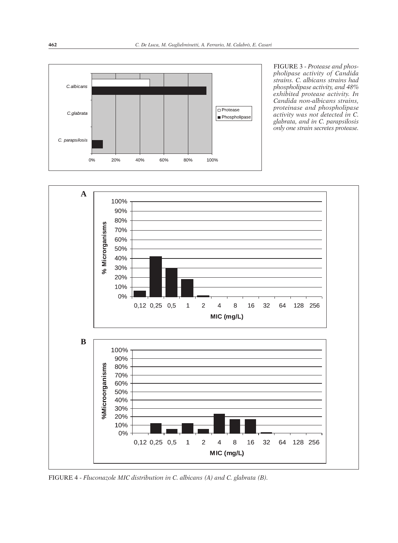

FIGURE 3 - *Protease and phospholipase activity of Candida strains. C. albicans strains had phospholipase activity, and 48% exhibited protease activity. In Candida non-albicans strains, proteinase and phospholipase activity was not detected in C. glabrata, and in C. parapsilosis only one strain secretes protease.*



FIGURE 4 - *Fluconazole MIC distribution in C. albicans (A) and C. glabrata (B).*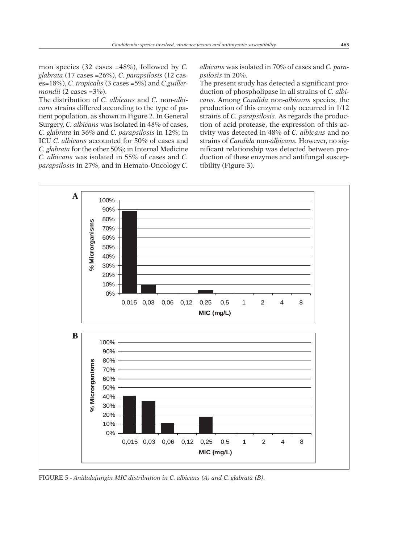mon species (32 cases =48%), followed by *C. glabrata* (17 cases =26%), *C. parapsilosis* (12 cases=18%), *C. tropicalis* (3 cases =5%) and *C.guillermondii* (2 cases =3%).

The distribution of *C. albicans* and *C.* non-*albicans* strains differed according to the type of patient population, as shown in Figure 2. In General Surgery, *C. albicans* was isolated in 48% of cases, *C. glabrata* in 36% and *C. parapsilosis* in 12%; in ICU *C. albicans* accounted for 50% of cases and *C. glabrata* for the other 50%; in Internal Medicine *C. albicans* was isolated in 55% of cases and *C. parapsilosis* in 27%, and in Hemato-Oncology *C.*

*albicans* was isolated in 70% of cases and *C. parapsilosis* in 20%.

The present study has detected a significant production of phospholipase in all strains of *C. albicans.* Among *Candida* non-*albicans* species, the production of this enzyme only occurred in 1/12 strains of *C. parapsilosis*. As regards the production of acid protease, the expression of this activity was detected in 48% of *C. albicans* and no strains of *Candida* non-*albicans.* However, no significant relationship was detected between production of these enzymes and antifungal susceptibility (Figure 3).



FIGURE 5 - *Anidulafungin MIC distribution in C. albicans (A) and C. glabrata (B).*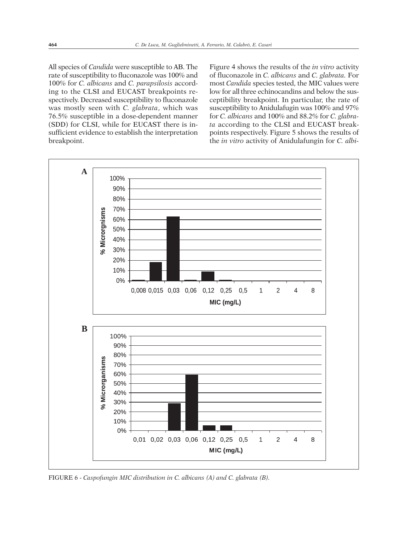All species of *Candida* were susceptible to AB. The rate of susceptibility to fluconazole was 100% and 100% for *C. albicans* and *C. parapsilosis* according to the CLSI and EUCAST breakpoints respectively. Decreased susceptibility to fluconazole was mostly seen with *C. glabrata*, which was 76.5% susceptible in a dose-dependent manner (SDD) for CLSI, while for EUCAST there is insufficient evidence to establish the interpretation breakpoint.

Figure 4 shows the results of the *in vitro* activity of fluconazole in *C. albicans* and *C. glabrata.* For most *Candida* species tested, the MIC values were low for all three echinocandins and below the susceptibility breakpoint. In particular, the rate of susceptibility to Anidulafugin was 100% and 97% for *C. albicans* and 100% and 88.2% for *C. glabrata* according to the CLSI and EUCAST breakpoints respectively. Figure 5 shows the results of the *in vitro* activity of Anidulafungin for *C. albi-*



FIGURE 6 - *Caspofungin MIC distribution in C. albicans (A) and C. glabrata (B).*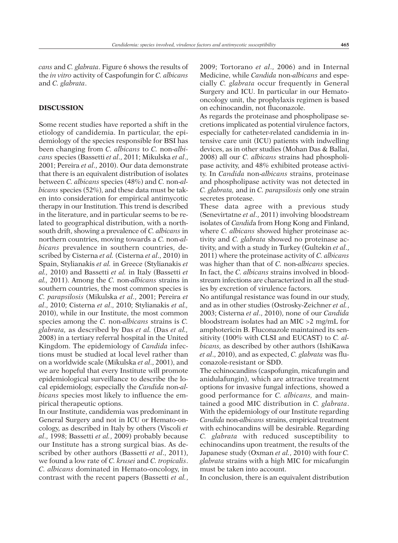*cans* and *C. glabrata*. Figure 6 shows the results of the *in vitro* activity of Caspofungin for *C. albicans* and *C. glabrata*.

#### **DISCUSSION**

Some recent studies have reported a shift in the etiology of candidemia. In particular, the epidemiology of the species responsible for BSI has been changing from *C. albicans* to *C.* non-*albicans* species (Bassetti *et al*., 2011; Mikulska *et al*., 2001; Pereira *et al*., 2010). Our data demonstrate that there is an equivalent distribution of isolates between *C. albicans* species (48%) and *C.* non-*albicans* species (52%), and these data must be taken into consideration for empirical antimycotic therapy in our Institution. This trend is described in the literature, and in particular seems to be related to geographical distribution, with a northsouth drift, showing a prevalence of *C. albicans* in northern countries, moving towards a *C.* non-*albicans* prevalence in southern countries, described by Cisterna *et al.* (Cisterna *et al*., 2010) in Spain, Stylianakis *et al.* in Greece (Stylianakis *et al.,* 2010) and Bassetti *et al.* in Italy (Bassetti *et al.,* 2011). Among the *C.* non-*albicans* strains in southern countries, the most common species is *C. parapsilosis* (Mikulska *et al*., 2001; Pereira *et al*., 2010; Cisterna *et al*., 2010; Stylianakis *et al.,* 2010), while in our Institute, the most common species among the *C.* non-*albicans* strains is *C. glabrata,* as described by Das *et al.* (Das *et al.,* 2008) in a tertiary referral hospital in the United Kingdom. The epidemiology of *Candida* infections must be studied at local level rather than on a worldwide scale (Mikulska *et al*., 2001), and we are hopeful that every Institute will promote epidemiological surveillance to describe the local epidemiology, especially the *Candida* non-*albicans* species most likely to influence the empirical therapeutic options.

In our Institute, candidemia was predominant in General Surgery and not in ICU or Hemato-oncology, as described in Italy by others (Viscoli *et al*., 1998; Bassetti *et al.*, 2009) probably because our Institute has a strong surgical bias. As described by other authors (Bassetti *et al*., 2011), we found a low rate of *C. krusei* and *C. tropicalis*. *C. albicans* dominated in Hemato-oncology, in contrast with the recent papers (Bassetti *et al.*, 2009; Tortorano *et al*., 2006) and in Internal Medicine, while *Candida* non-*albicans* and especially *C. glabrata* occur frequently in General Surgery and ICU. In particular in our Hematooncology unit, the prophylaxis regimen is based on echinocandin, not fluconazole.

As regards the proteinase and phospholipase secretions implicated as potential virulence factors, especially for catheter-related candidemia in intensive care unit (ICU) patients with indwelling devices, as in other studies (Mohan Das & Ballai, 2008) all our *C. albicans* strains had phospholipase activity, and 48% exhibited protease activity. In *Candida* non-*albicans* strains, proteinase and phospholipase activity was not detected in *C. glabrata,* and in *C. parapsilosis* only one strain secretes protease.

These data agree with a previous study (Senevirtatne *et al*., 2011) involving bloodstream isolates of *Candid*a from Hong Kong and Finland, where *C. albicans* showed higher proteinase activity and *C. glabrata* showed no proteinase activity, and with a study in Turkey (Gultekin *et al*., 2011) where the proteinase activity of *C. albicans* was higher than that of *C.* non*-albicans* species. In fact, the *C. albicans* strains involved in bloodstream infections are characterized in all the studies by excretion of virulence factors.

No antifungal resistance was found in our study, and as in other studies (Ostrosky-Zeichner *et al.*, 2003; Cisterna *et al*., 2010), none of our *Candida* bloodstream isolates had an MIC >2 mg/mL for amphotericin B. Fluconazole maintained its sensitivity (100% with CLSI and EUCAST) to *C. albicans,* as described by other authors (IshiKawa *et al*., 2010), and as expected, *C. glabrata* was fluconazole-resistant or SDD.

The echinocandins (caspofungin, micafungin and anidulafungin), which are attractive treatment options for invasive fungal infections, showed a good performance for *C. albicans,* and maintained a good MIC distribution in *C. glabrata*. With the epidemiology of our Institute regarding *Candida* non-*albicans* strains, empirical treatment with echinocandins will be desirable. Regarding *C. glabrata* with reduced susceptibility to echinocandins upon treatment, the results of the Japanese study (Oxman *et al.*, 2010) with four *C. glabrata* strains with a high MIC for micafungin must be taken into account.

In conclusion, there is an equivalent distribution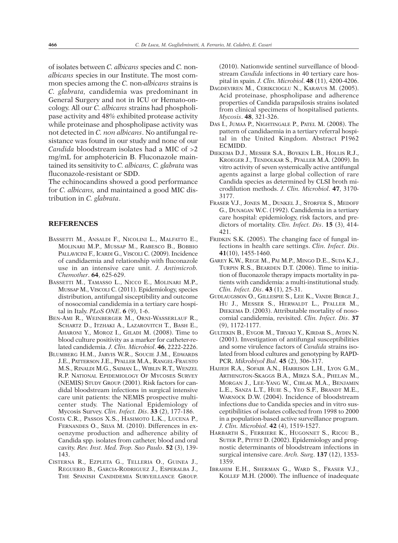of isolates between *C. albicans* species and *C.* non*albicans* species in our Institute. The most common species among the *C.* non-*albicans* strains is *C. glabrata,* candidemia was predominant in General Surgery and not in ICU or Hemato-oncology. All our *C. albicans* strains had phospholipase activity and 48% exhibited protease activity while proteinase and phospholipase activity was not detected in *C. non albicans*. No antifungal resistance was found in our study and none of our *Candida* bloodstream isolates had a MIC of >2 mg/mL for amphotericin B. Fluconazole maintained its sensitivity to *C. albicans, C. glabrata* was fluconazole-resistant or SDD.

The echinocandins showed a good performance for *C. albicans,* and maintained a good MIC distribution in *C. glabrata*.

#### **REFERENCES**

- BASSETTI M., ANSALDI F., NICOLINI L., MALFATTO E., MOLINARI M.P., MUSSAP M., RABESCO B., BOBBIO PALLAVICINI F., ICARDI G., VISCOLI C. (2009). Incidence of candidaemia and relationship with fluconazole use in an intensive care unit. *J. Antimicrob. Chemother*. **64**, 625-629.
- BASSETTI M., TAMASSO L., NICCO E., MOLINARI M.P., MUSSAP M., VISCOLI C. (2011). Epidemiology, species distribution, antifungal sisceptibility and outcome of nosocomial candidemia in a tertiary care hospital in Italy. *PLoS ONE*. **6** (9), 1-6.
- BEN-AMI R., WEINBERGER M., ORNI-WASSERLAUF R., SCHARTZ D., ITZHAKI A., LAZAROVITCH T., BASH E., AHARONI Y., MOROZ I., GILADI M. (2008). Time to blood culture positivity as a marker for catheter-related candidemia. *J. Clin. Microbiol*. **46**, 2222-2226.
- BLUMBERG H.M., JARVIS W.R., SOUCIE J.M., EDWARDS J.E., PATTERSON J.E., PFALLER M.A., RANGEL-FRAUSTO M.S., RINALDI M.G., SAIMAN L., WIBLIN R.T., WENZEL R.P. NATIONAL EPIDEMIOLOGY OF MYCOSES SURVEY (NEMIS) STUDY GROUP. (2001). Risk factors for candidal bloodstream infections in surgical intensive care unit patients: the NEMIS prospective multicenter study. The National Epidemiology of Mycosis Survey. *Clin. Infect. Dis*. **33** (2), 177-186.
- COSTA C.R., PASSOS X.S., HASIMOTO L.K., LUCENA P., FERNANDES O., SILVA M. (2010). Differences in exoenzyme production and adherence ability of Candida spp. isolates from catheter, blood and oral cavity. *Rev. Inst. Med. Trop. Sao Paulo*. **52** (3), 139- 143.
- CISTERNA R., EZPLETA G., TELLERIA O., GUINEA J., REGUERIO B., GARCIA-RODRIGUEZ J., ESPERALBA J., THE SPANISH CANDIDEMIA SURVEILLANCE GROUP.

(2010). Nationwide sentinel surveillance of bloodstream *Candida* infections in 40 tertiary care hospital in spain. *J. Clin. Microbiol*. **48** (11), 4200-4206.

- DAGDEVIREN M., CERIKCIOGLU N., KARAVUS M. (2005). Acid proteinase, phospholipase and adherence properties of Candida parapsilosis strains isolated from clinical specimens of hospitalised patients. *Mycosis*. **48**, 321-326.
- DAS I., JUMAA P., NIGHTINGALE P., PATEL M. (2008). The pattern of candidaemia in a tertiary referral hospital in the United Kingdom. Abstract P1962 ECMIDD.
- DIEKEMA D.J., MESSER S.A., BOYKEN L.B., HOLLIS R.J., KROEGER J., TENDOLKAR S., PFALLER M.A. (2009). In vitro activity of seven systemically active antifungal agents against a large global collection of rare Candida species as determined by CLSI broth microdilution methods. *J. Clin. Microbiol*. **47**, 3170- 3177.
- FRASER V.J., JONES M., DUNKEL J., STORFER S., MEDOFF G., DUNAGAN W.C. (1992). Candidemia in a tertiary care hospital: epidemiology, risk factors, and predictors of mortality. *Clin. Infect. Dis*. **15** (3), 414- 421.
- FRIDKIN S.K. (2005). The changing face of fungal infections in health care settings. *Clin. Infect. Dis*. **41**(10), 1455-1460.
- GAREY K.W., REGE M., PAI M.P., MINGO D.E., SUDA K.J., TURPIN R.S., BEARDEN D.T. (2006). Time to initiation of fluconazole therapy impacts mortality in patients with candidemia: a multi-institutional study. *Clin. Infect. Dis*. **43** (1), 25-31.
- GUDLAUGSSON O., GILLESPIE S., LEE K., VANDE BERGE J., HU J., MESSER S., HERWALDT L., PFALLER M., DIEKEMA D. (2003). Attributable mortality of nosocomial candidemia, revisited. *Clin. Infect. Dis*. **37** (9), 1172-1177.
- GULTEKIN B., EYGOR M., TIRYAKI Y., KIRDAR S., AYDIN N. (2001). Investigation of antifungal susceptibilities and some virulence factors of *Candida* strains isolated from blood cultures and genotyping by RAPD-PCR. *Mikrobiyol Bul*. **45** (2), 306-317.
- HAJJEH R.A., SOFAIR A.N., HARRISON L.H., LYON G.M., ARTHINGTON-SKAGGS B.A., MIRZA S.A., PHELAN M., MORGAN J., LEE-YANG W., CIBLAK M.A., BENJAMIN L.E., SANZA L.T., HUIE S., YEO S.F., BRANDT M.E., WARNOCK D.W. (2004). Incidence of bloodstream infections due to Candida species and in vitro susceptibilities of isolates collected from 1998 to 2000 in a population-based active surveillance program. *J. Clin. Microbiol*. **42** (4), 1519-1527.
- HARBARTH S., FERRIERE K., HUGONNET S., RICOU B., SUTER P., PITTET D. (2002). Epidemiology and prognostic determinants of bloodstream infections in surgical intensive care. *Arch. Surg*. **137** (12), 1353- 1359.
- IBRAHIM E.H., SHERMAN G., WARD S., FRASER V.J., KOLLEF M.H. (2000). The influence of inadequate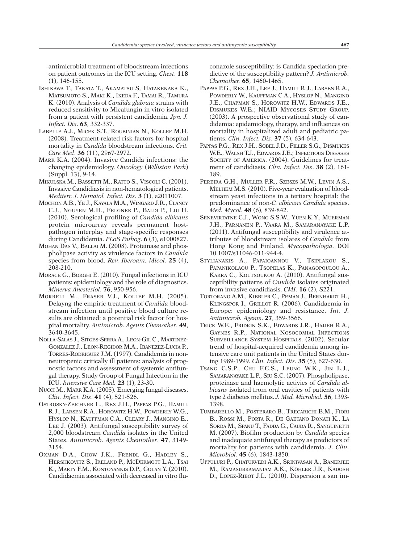antimicrobial treatment of bloodstream infections on patient outcomes in the ICU setting. *Chest*. **118** (1), 146-155.

- ISHIKAWA T., TAKATA T., AKAMATSU S, HATAKENAKA K., MATSUMOTO S., MAKI K., IKEDA F., TAMAI R., TAMURA K. (2010). Analysis of *Candida glabrata* strains with reduced sensitivity to Micafungin in vitro isolated from a patient with persistent candidemia. *Jpn. J. Infect. Dis*. **63**, 332-337.
- LABELLE A.J., MICEK S.T., ROUBINIAN N., KOLLEF M.H. (2008). Treatment-related risk factors for hospital mortality in *Candida* bloodstream infections. *Crit. Care Med*. **36** (11), 2967-2972.
- MARR K.A. (2004). Invasive Candida infections: the changing epidemiology. *Oncology* (*Williston Park*) (Suppl. 13), 9-14.
- MIKULSKA M., BASSETTI M., RATTO S., VISCOLI C. (2001). Invasive Candidiasis in non-hematological patients. *Mediterr. J. Hematol. Infect. Dis*. **3** (1), e2011007.
- MOCHON A.B., YE J., KAYALA M.A., WINGARD J.R., CLANCY C.J., NGUYEN M.H., FELGNER P., BALDI P., LIU H. (2010). Serological profiling of *Candida albicans* protein microarray reveals permanent hostpathogen interplay and stage-specific responses during Candidemia. *PLoS Pathog*. **6** (3), e1000827.
- MOHAN DAS V., BALLAI M. (2008). Proteinase and phospholipase activity as virulence factors in *Candida* species from blood. *Rev. Iberoam. Micol*. **25** (4), 208-210.
- MORACE G., BORGHI E. (2010). Fungal infections in ICU patients: epidemiology and the role of diagnostics. *Minerva Anestesiol*. **76**, 950-956.
- MORRELL M., FRASER V.J., KOLLEF M.H. (2005). Delayng the empiric treatment of *Candida* bloodstream infection until positive blood culture results are obtained: a potential risk factor for hospital mortality. *Antimicrob. Agents Chemother*. **49**, 3640-3645.
- NOLLA-SALAS J., SITGES-SERRA A., LEON-GIL C., MARTINEZ-GONZALEZ J., LEON-REGIDOR M.A., IBANEZEZ-LUCIA P., TORRES-RODRIGUEZ J.M. (1997). Candidemia in nonneutropenic critically ill patients: analysis of prognostic factors and assessment of systemic antifungal therapy. Study Group of Fungal Infection in the ICU. *Intensive Care Med.* **23** (1), 23-30.
- NUCCI M., MARR K.A. (2005). Emerging fungal diseases. *Clin. Infect. Dis*. **41** (4), 521-526.
- OSTROSKY-ZEICHNER L., REX J.H., PAPPAS P.G., HAMILL R.J., LARSEN R.A., HOROWITZ H.W., POWDERLY W.G., HYSLOP N., KAUFFMAN C.A., CLEARY J., MANGINO E., LEE J. (2003). Antifungal susceptibility survey of 2,000 bloodstream *Candida* isolates in the United States. *Antimicrob. Agents Chemother*. **47**, 3149- 3154.
- OXMAN D.A., CHOW J.K., FRENDL G., HADLEY S., HERSHKOVITZ S., IRELAND P., MCDERMOTT L.A., TSAI K., MARTY F.M., KONTOYANNIS D.P., GOLAN Y. (2010). Candidaemia associated with decreased in vitro flu-

conazole susceptibility: is Candida speciation predictive of the susceptibility pattern? *J. Antimicrob. Chemother.* **65**, 1460-1465.

- PAPPAS P.G., REX J.H., LEE J., HAMILL R.J., LARSEN R.A., POWDERLY W., KAUFFMAN C.A., HYSLOP N., MANGINO J.E., CHAPMAN S., HOROWITZ H.W., EDWARDS J.E., DISMUKES W.E.; NIAID MYCOSES STUDY GROUP. (2003). A prospective observational study of candidemia: epidemiology, therapy, and influences on mortality in hospitalized adult and pediatric patients. *Clin. Infect. Dis*. **37** (5), 634-643.
- PAPPAS P.G., REX J.H., SOBEL J.D., FILLER S.G., DISMUKES W.E., WALSH T.J., EDWARDS J.E.; INFECTIOUS DISEASES SOCIETY OF AMERICA. (2004). Guidelines for treatment of candidiasis. *Clin. Infect. Dis*. **38** (2), 161- 189.
- PEREIRA G.H., MULLER P.R., SZESZS M.W., LEVIN A.S., MELHEM M.S. (2010). Five-year evaluation of bloodstream yeast infections in a tertiary hospital: the predominance of non-*C. albicans Candida* species. *Med. Mycol*. **48** (6), 839-842.
- SENEVIRTATNE C.J., WONG S.S.W., YUEN K.Y., MUERMAN J.H., PARNANEN P., VAARA M., SAMARANAYAKE L.P. (2011). Antifungal susceptibility and virulence attributes of bloodstream isolates of *Candida* from Hong Kong and Finland. *Mycopathologia.* DOI 10.1007/s11046-011-944-4.
- STYLIANAKIS A., PAPAIOANNOU V., TSIPLAKOU S., PAPANIKOLAOU P., TSOPELAS K., PANAGOPOULOU A., KARRA C., KOUTSOUKOU A. (2010). Antifungal susceptibility patterns of *Candida* isolates originated from invasive candidiasis. *CMI*. **16** (2), S221.
- TORTORANO A.M., KIBBLER C., PEMAN J., BERNHARDT H., KLINGSPOR I., GRILLOT R. (2006). Candidaemia in Europe: epidemiology and resistance. *Int. J. Antimicrob. Agents*. **27**, 359-3566.
- TRICK W.E., FRIDKIN S.K., EDWARDS J.R., HAJJEH R.A., GAYNES R.P., NATIONAL NOSOCOMIAL INFECTIONS SURVEILLANCE SYSTEM HOSPITALS. (2002). Secular trend of hospital-acquired candidemia among intensive care unit patients in the United States during 1989-1999. *Clin. Infect. Dis.* **35** (5), 627-630.
- TSANG C.S.P., CHU F.C.S., LEUNG W.K., JIN L.J., SAMARANAYAKE L.P., SIU S.C. (2007). Phospholipase, proteinase and haemolytic activies of *Candida albicans* isolated from oral cavities of patients with type 2 diabetes mellitus. *J. Med. Microbiol.* **56**, 1393- 1398.
- TUMBARELLO M., POSTERARO B., TRECARICHI E.M., FIORI B., ROSSI M., PORTA R., DE GAETANO DONATI K., LA SORDA M., SPANU T., FADDA G., CAUDA R., SANGUINETTI M. (2007). Biofilm production by *Candida* species and inadequate antifungal therapy as predictors of mortality for patients with candidemia. *J. Clin. Microbiol.* **45** (6), 1843-1850.
- UPPULURI P., CHATURVEDI A.K., SRINIVASAN A., BANERJEE M., RAMASUBRAMANIAM A.K., KÖHLER J.R., KADOSH D., LOPEZ-RIBOT J.L. (2010). Dispersion a san im-